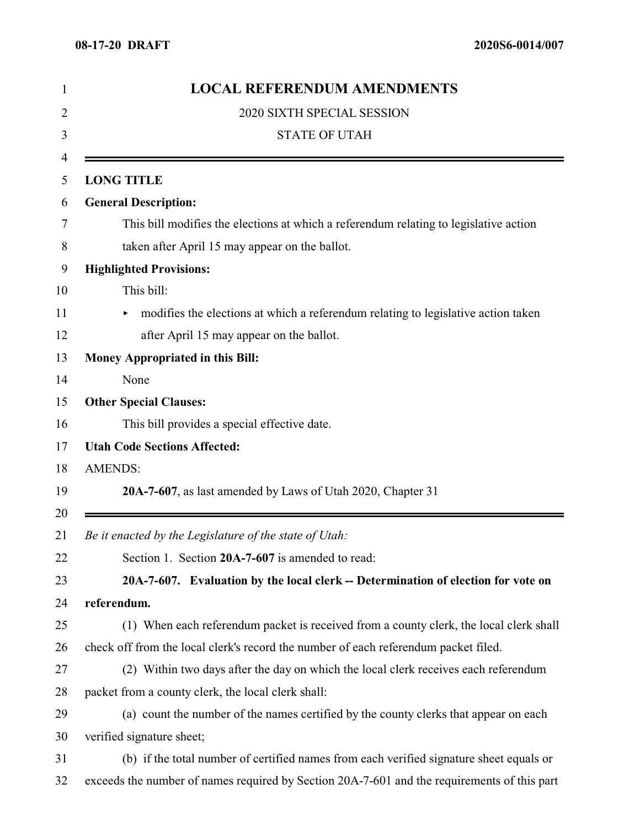| 1  | <b>LOCAL REFERENDUM AMENDMENTS</b>                                                          |
|----|---------------------------------------------------------------------------------------------|
| 2  | 2020 SIXTH SPECIAL SESSION                                                                  |
| 3  | <b>STATE OF UTAH</b>                                                                        |
| 4  |                                                                                             |
| 5  | <b>LONG TITLE</b>                                                                           |
| 6  | <b>General Description:</b>                                                                 |
| 7  | This bill modifies the elections at which a referendum relating to legislative action       |
| 8  | taken after April 15 may appear on the ballot.                                              |
| 9  | <b>Highlighted Provisions:</b>                                                              |
| 10 | This bill:                                                                                  |
| 11 | modifies the elections at which a referendum relating to legislative action taken<br>▶      |
| 12 | after April 15 may appear on the ballot.                                                    |
| 13 | <b>Money Appropriated in this Bill:</b>                                                     |
| 14 | None                                                                                        |
| 15 | <b>Other Special Clauses:</b>                                                               |
| 16 | This bill provides a special effective date.                                                |
| 17 | <b>Utah Code Sections Affected:</b>                                                         |
| 18 | <b>AMENDS:</b>                                                                              |
| 19 | 20A-7-607, as last amended by Laws of Utah 2020, Chapter 31                                 |
| 20 |                                                                                             |
| 21 | Be it enacted by the Legislature of the state of Utah:                                      |
| 22 | Section 1. Section 20A-7-607 is amended to read:                                            |
| 23 | 20A-7-607. Evaluation by the local clerk -- Determination of election for vote on           |
| 24 | referendum.                                                                                 |
| 25 | (1) When each referendum packet is received from a county clerk, the local clerk shall      |
| 26 | check off from the local clerk's record the number of each referendum packet filed.         |
| 27 | (2) Within two days after the day on which the local clerk receives each referendum         |
| 28 | packet from a county clerk, the local clerk shall:                                          |
| 29 | (a) count the number of the names certified by the county clerks that appear on each        |
| 30 | verified signature sheet;                                                                   |
| 31 | (b) if the total number of certified names from each verified signature sheet equals or     |
| 32 | exceeds the number of names required by Section 20A-7-601 and the requirements of this part |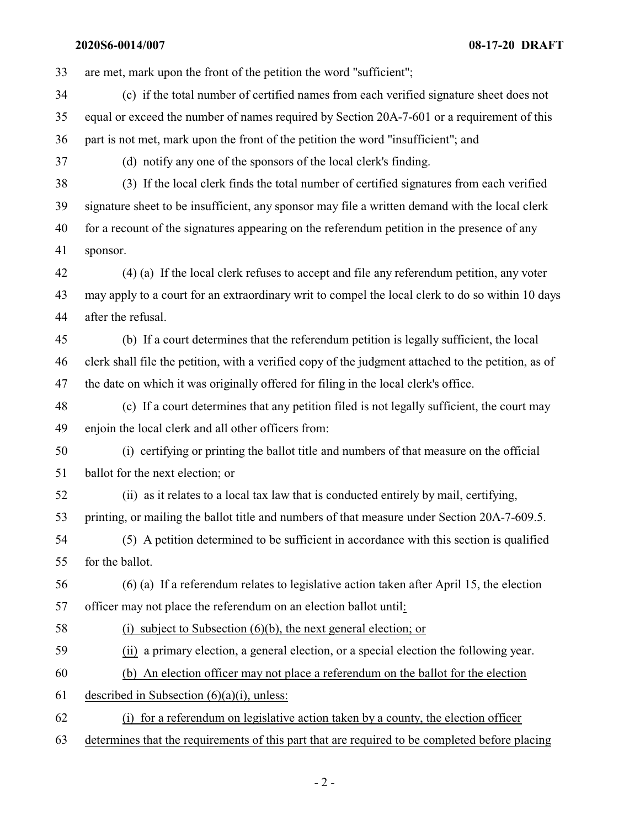**2020S6-0014/007 08-17-20 DRAFT**

are met, mark upon the front of the petition the word "sufficient";

- (c) if the total number of certified names from each verified signature sheet does not equal or exceed the number of names required by Section 20A-7-601 or a requirement of this part is not met, mark upon the front of the petition the word "insufficient"; and
- (d) notify any one of the sponsors of the local clerk's finding.
- (3) If the local clerk finds the total number of certified signatures from each verified signature sheet to be insufficient, any sponsor may file a written demand with the local clerk for a recount of the signatures appearing on the referendum petition in the presence of any sponsor.
- (4) (a) If the local clerk refuses to accept and file any referendum petition, any voter may apply to a court for an extraordinary writ to compel the local clerk to do so within 10 days after the refusal.
- (b) If a court determines that the referendum petition is legally sufficient, the local clerk shall file the petition, with a verified copy of the judgment attached to the petition, as of the date on which it was originally offered for filing in the local clerk's office.
- (c) If a court determines that any petition filed is not legally sufficient, the court may enjoin the local clerk and all other officers from:
- (i) certifying or printing the ballot title and numbers of that measure on the official ballot for the next election; or
- (ii) as it relates to a local tax law that is conducted entirely by mail, certifying, printing, or mailing the ballot title and numbers of that measure under Section 20A-7-609.5.
- (5) A petition determined to be sufficient in accordance with this section is qualified for the ballot.
- (6) (a) If a referendum relates to legislative action taken after April 15, the election officer may not place the referendum on an election ballot until:
- 
- (i) subject to Subsection (6)(b), the next general election; or
- (ii) a primary election, a general election, or a special election the following year.
- (b) An election officer may not place a referendum on the ballot for the election
- 61 described in Subsection  $(6)(a)(i)$ , unless:
- (i) for a referendum on legislative action taken by a county, the election officer
- determines that the requirements of this part that are required to be completed before placing